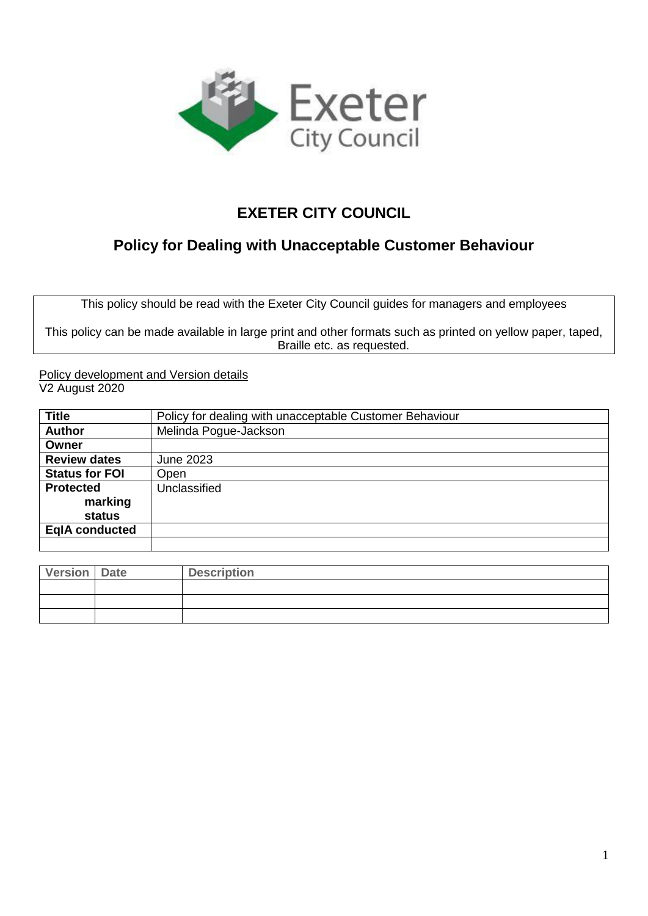

# **EXETER CITY COUNCIL**

# **Policy for Dealing with Unacceptable Customer Behaviour**

This policy should be read with the Exeter City Council guides for managers and employees

This policy can be made available in large print and other formats such as printed on yellow paper, taped, Braille etc. as requested.

Policy development and Version details V2 August 2020

| <b>Title</b>          | Policy for dealing with unacceptable Customer Behaviour |
|-----------------------|---------------------------------------------------------|
| <b>Author</b>         | Melinda Pogue-Jackson                                   |
| Owner                 |                                                         |
| <b>Review dates</b>   | <b>June 2023</b>                                        |
| <b>Status for FOI</b> | Open                                                    |
| <b>Protected</b>      | Unclassified                                            |
| marking               |                                                         |
| status                |                                                         |
| <b>EgIA conducted</b> |                                                         |
|                       |                                                         |

| Version   Date | <b>Description</b> |
|----------------|--------------------|
|                |                    |
|                |                    |
|                |                    |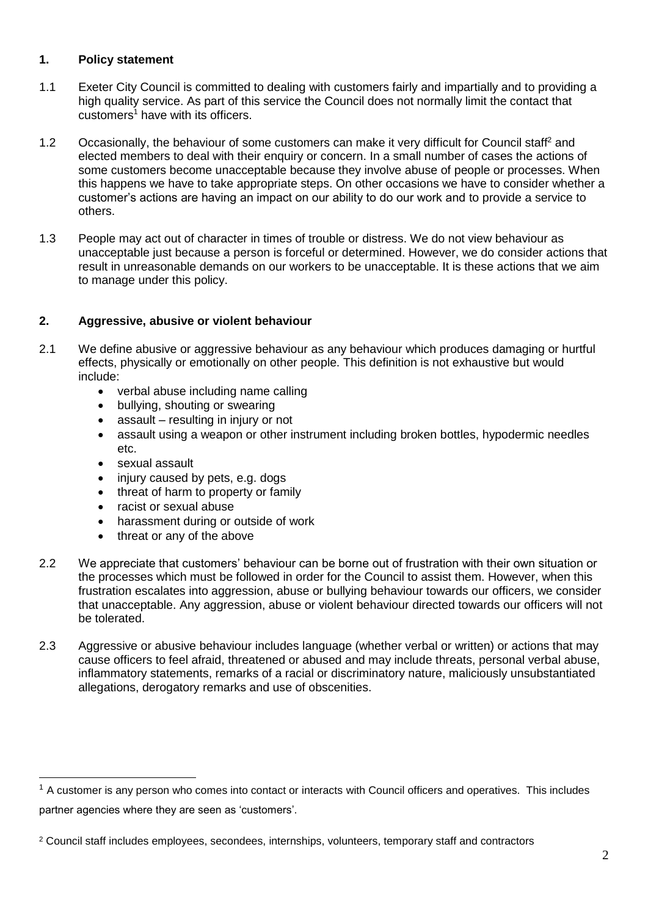## **1. Policy statement**

- 1.1 Exeter City Council is committed to dealing with customers fairly and impartially and to providing a high quality service. As part of this service the Council does not normally limit the contact that  $\frac{1}{2}$  customers<sup>1</sup> have with its officers.
- 1.2 Occasionally, the behaviour of some customers can make it very difficult for Council staff<sup>2</sup> and elected members to deal with their enquiry or concern. In a small number of cases the actions of some customers become unacceptable because they involve abuse of people or processes. When this happens we have to take appropriate steps. On other occasions we have to consider whether a customer's actions are having an impact on our ability to do our work and to provide a service to others.
- 1.3 People may act out of character in times of trouble or distress. We do not view behaviour as unacceptable just because a person is forceful or determined. However, we do consider actions that result in unreasonable demands on our workers to be unacceptable. It is these actions that we aim to manage under this policy.

# **2. Aggressive, abusive or violent behaviour**

- 2.1 We define abusive or aggressive behaviour as any behaviour which produces damaging or hurtful effects, physically or emotionally on other people. This definition is not exhaustive but would include:
	- verbal abuse including name calling
	- bullying, shouting or swearing
	- assault resulting in injury or not
	- assault using a weapon or other instrument including broken bottles, hypodermic needles etc.
	- sexual assault

-

- injury caused by pets, e.g. dogs
- threat of harm to property or family
- racist or sexual abuse
- harassment during or outside of work
- threat or any of the above
- 2.2 We appreciate that customers' behaviour can be borne out of frustration with their own situation or the processes which must be followed in order for the Council to assist them. However, when this frustration escalates into aggression, abuse or bullying behaviour towards our officers, we consider that unacceptable. Any aggression, abuse or violent behaviour directed towards our officers will not be tolerated.
- 2.3 Aggressive or abusive behaviour includes language (whether verbal or written) or actions that may cause officers to feel afraid, threatened or abused and may include threats, personal verbal abuse, inflammatory statements, remarks of a racial or discriminatory nature, maliciously unsubstantiated allegations, derogatory remarks and use of obscenities.

 $1$  A customer is any person who comes into contact or interacts with Council officers and operatives. This includes partner agencies where they are seen as 'customers'.

<sup>2</sup> Council staff includes employees, secondees, internships, volunteers, temporary staff and contractors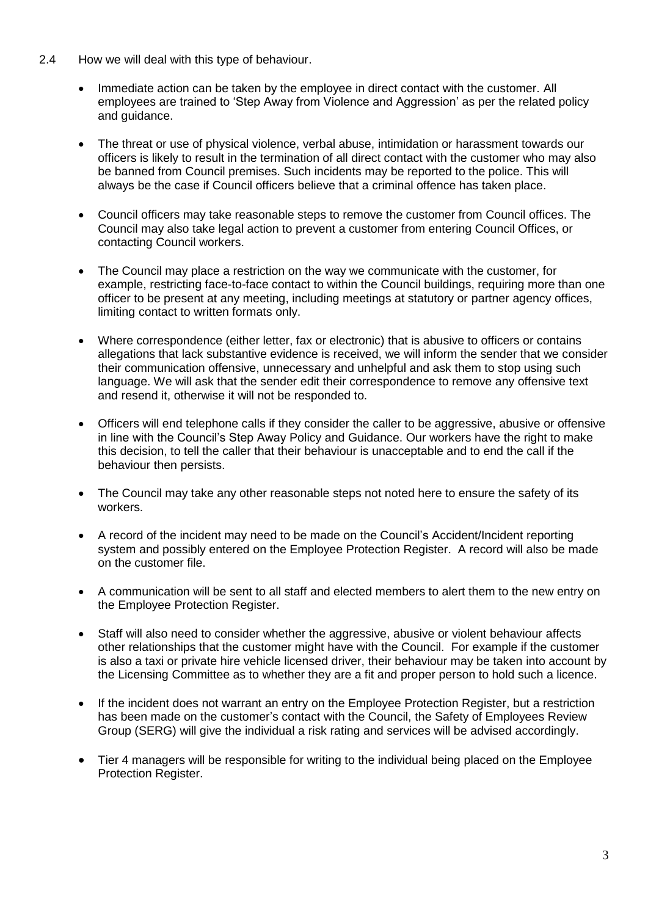- 2.4 How we will deal with this type of behaviour.
	- Immediate action can be taken by the employee in direct contact with the customer. All employees are trained to 'Step Away from Violence and Aggression' as per the related policy and guidance.
	- The threat or use of physical violence, verbal abuse, intimidation or harassment towards our officers is likely to result in the termination of all direct contact with the customer who may also be banned from Council premises. Such incidents may be reported to the police. This will always be the case if Council officers believe that a criminal offence has taken place.
	- Council officers may take reasonable steps to remove the customer from Council offices. The Council may also take legal action to prevent a customer from entering Council Offices, or contacting Council workers.
	- The Council may place a restriction on the way we communicate with the customer, for example, restricting face-to-face contact to within the Council buildings, requiring more than one officer to be present at any meeting, including meetings at statutory or partner agency offices, limiting contact to written formats only.
	- Where correspondence (either letter, fax or electronic) that is abusive to officers or contains allegations that lack substantive evidence is received, we will inform the sender that we consider their communication offensive, unnecessary and unhelpful and ask them to stop using such language. We will ask that the sender edit their correspondence to remove any offensive text and resend it, otherwise it will not be responded to.
	- Officers will end telephone calls if they consider the caller to be aggressive, abusive or offensive in line with the Council's Step Away Policy and Guidance. Our workers have the right to make this decision, to tell the caller that their behaviour is unacceptable and to end the call if the behaviour then persists.
	- The Council may take any other reasonable steps not noted here to ensure the safety of its workers.
	- A record of the incident may need to be made on the Council's Accident/Incident reporting system and possibly entered on the Employee Protection Register. A record will also be made on the customer file.
	- A communication will be sent to all staff and elected members to alert them to the new entry on the Employee Protection Register.
	- Staff will also need to consider whether the aggressive, abusive or violent behaviour affects other relationships that the customer might have with the Council. For example if the customer is also a taxi or private hire vehicle licensed driver, their behaviour may be taken into account by the Licensing Committee as to whether they are a fit and proper person to hold such a licence.
	- If the incident does not warrant an entry on the Employee Protection Register, but a restriction has been made on the customer's contact with the Council, the Safety of Employees Review Group (SERG) will give the individual a risk rating and services will be advised accordingly.
	- Tier 4 managers will be responsible for writing to the individual being placed on the Employee Protection Register.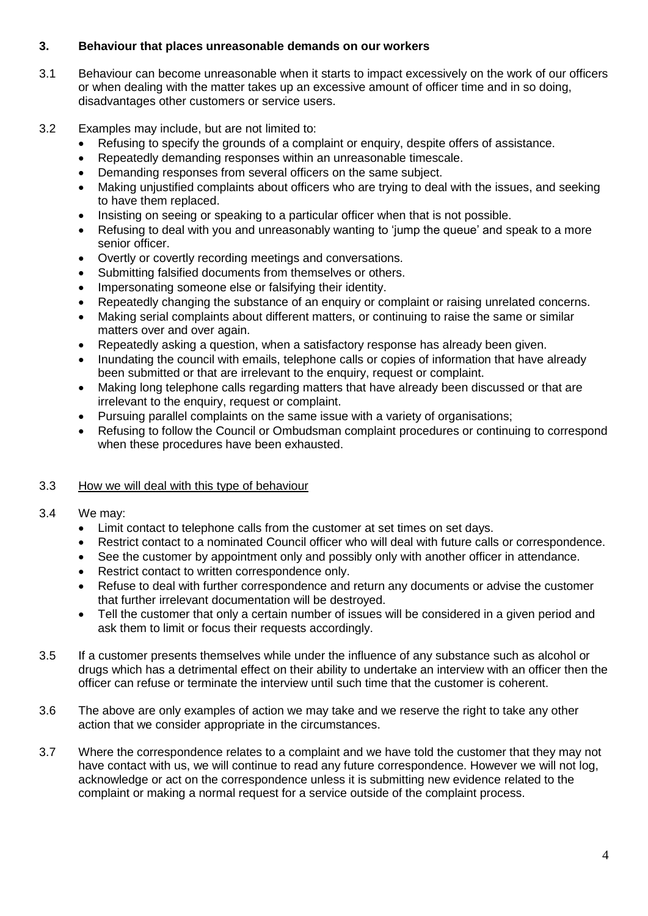### **3. Behaviour that places unreasonable demands on our workers**

- 3.1 Behaviour can become unreasonable when it starts to impact excessively on the work of our officers or when dealing with the matter takes up an excessive amount of officer time and in so doing, disadvantages other customers or service users.
- 3.2 Examples may include, but are not limited to:
	- Refusing to specify the grounds of a complaint or enquiry, despite offers of assistance.
	- Repeatedly demanding responses within an unreasonable timescale.
	- Demanding responses from several officers on the same subject.
	- Making unjustified complaints about officers who are trying to deal with the issues, and seeking to have them replaced.
	- Insisting on seeing or speaking to a particular officer when that is not possible.
	- Refusing to deal with you and unreasonably wanting to 'jump the queue' and speak to a more senior officer.
	- Overtly or covertly recording meetings and conversations.
	- Submitting falsified documents from themselves or others.
	- Impersonating someone else or falsifying their identity.
	- Repeatedly changing the substance of an enquiry or complaint or raising unrelated concerns.
	- Making serial complaints about different matters, or continuing to raise the same or similar matters over and over again.
	- Repeatedly asking a question, when a satisfactory response has already been given.
	- Inundating the council with emails, telephone calls or copies of information that have already been submitted or that are irrelevant to the enquiry, request or complaint.
	- Making long telephone calls regarding matters that have already been discussed or that are irrelevant to the enquiry, request or complaint.
	- Pursuing parallel complaints on the same issue with a variety of organisations;
	- Refusing to follow the Council or Ombudsman complaint procedures or continuing to correspond when these procedures have been exhausted.

#### 3.3 How we will deal with this type of behaviour

#### 3.4 We may:

- Limit contact to telephone calls from the customer at set times on set days.
- Restrict contact to a nominated Council officer who will deal with future calls or correspondence.
- See the customer by appointment only and possibly only with another officer in attendance.
- Restrict contact to written correspondence only.
- Refuse to deal with further correspondence and return any documents or advise the customer that further irrelevant documentation will be destroyed.
- Tell the customer that only a certain number of issues will be considered in a given period and ask them to limit or focus their requests accordingly.
- 3.5 If a customer presents themselves while under the influence of any substance such as alcohol or drugs which has a detrimental effect on their ability to undertake an interview with an officer then the officer can refuse or terminate the interview until such time that the customer is coherent.
- 3.6 The above are only examples of action we may take and we reserve the right to take any other action that we consider appropriate in the circumstances.
- 3.7 Where the correspondence relates to a complaint and we have told the customer that they may not have contact with us, we will continue to read any future correspondence. However we will not log, acknowledge or act on the correspondence unless it is submitting new evidence related to the complaint or making a normal request for a service outside of the complaint process.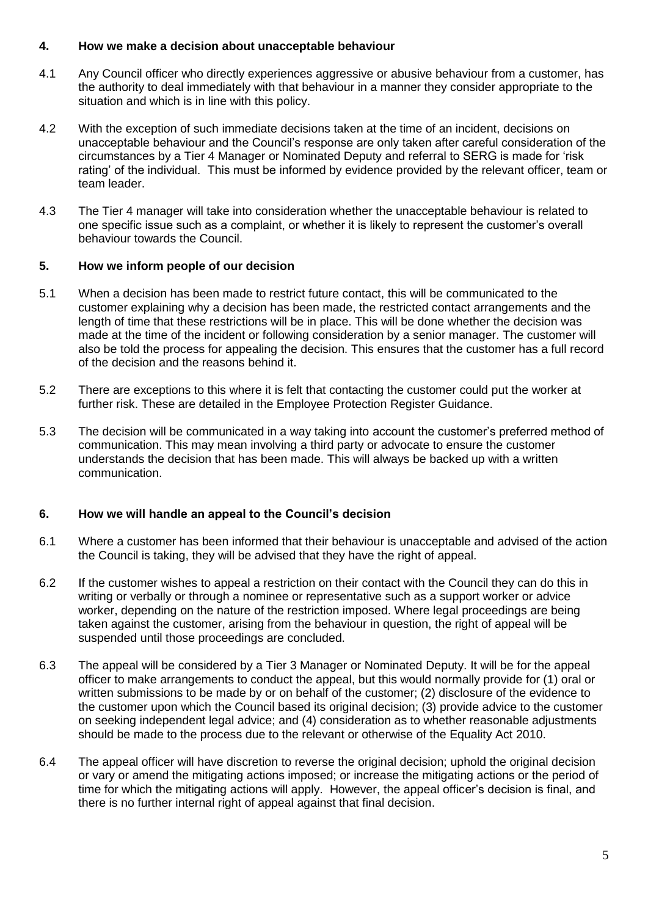#### **4. How we make a decision about unacceptable behaviour**

- 4.1 Any Council officer who directly experiences aggressive or abusive behaviour from a customer, has the authority to deal immediately with that behaviour in a manner they consider appropriate to the situation and which is in line with this policy.
- 4.2 With the exception of such immediate decisions taken at the time of an incident, decisions on unacceptable behaviour and the Council's response are only taken after careful consideration of the circumstances by a Tier 4 Manager or Nominated Deputy and referral to SERG is made for 'risk rating' of the individual. This must be informed by evidence provided by the relevant officer, team or team leader.
- 4.3 The Tier 4 manager will take into consideration whether the unacceptable behaviour is related to one specific issue such as a complaint, or whether it is likely to represent the customer's overall behaviour towards the Council.

# **5. How we inform people of our decision**

- 5.1 When a decision has been made to restrict future contact, this will be communicated to the customer explaining why a decision has been made, the restricted contact arrangements and the length of time that these restrictions will be in place. This will be done whether the decision was made at the time of the incident or following consideration by a senior manager. The customer will also be told the process for appealing the decision. This ensures that the customer has a full record of the decision and the reasons behind it.
- 5.2 There are exceptions to this where it is felt that contacting the customer could put the worker at further risk. These are detailed in the Employee Protection Register Guidance.
- 5.3 The decision will be communicated in a way taking into account the customer's preferred method of communication. This may mean involving a third party or advocate to ensure the customer understands the decision that has been made. This will always be backed up with a written communication.

# **6. How we will handle an appeal to the Council's decision**

- 6.1 Where a customer has been informed that their behaviour is unacceptable and advised of the action the Council is taking, they will be advised that they have the right of appeal.
- 6.2 If the customer wishes to appeal a restriction on their contact with the Council they can do this in writing or verbally or through a nominee or representative such as a support worker or advice worker, depending on the nature of the restriction imposed. Where legal proceedings are being taken against the customer, arising from the behaviour in question, the right of appeal will be suspended until those proceedings are concluded.
- 6.3 The appeal will be considered by a Tier 3 Manager or Nominated Deputy. It will be for the appeal officer to make arrangements to conduct the appeal, but this would normally provide for (1) oral or written submissions to be made by or on behalf of the customer; (2) disclosure of the evidence to the customer upon which the Council based its original decision; (3) provide advice to the customer on seeking independent legal advice; and (4) consideration as to whether reasonable adjustments should be made to the process due to the relevant or otherwise of the Equality Act 2010.
- 6.4 The appeal officer will have discretion to reverse the original decision; uphold the original decision or vary or amend the mitigating actions imposed; or increase the mitigating actions or the period of time for which the mitigating actions will apply. However, the appeal officer's decision is final, and there is no further internal right of appeal against that final decision.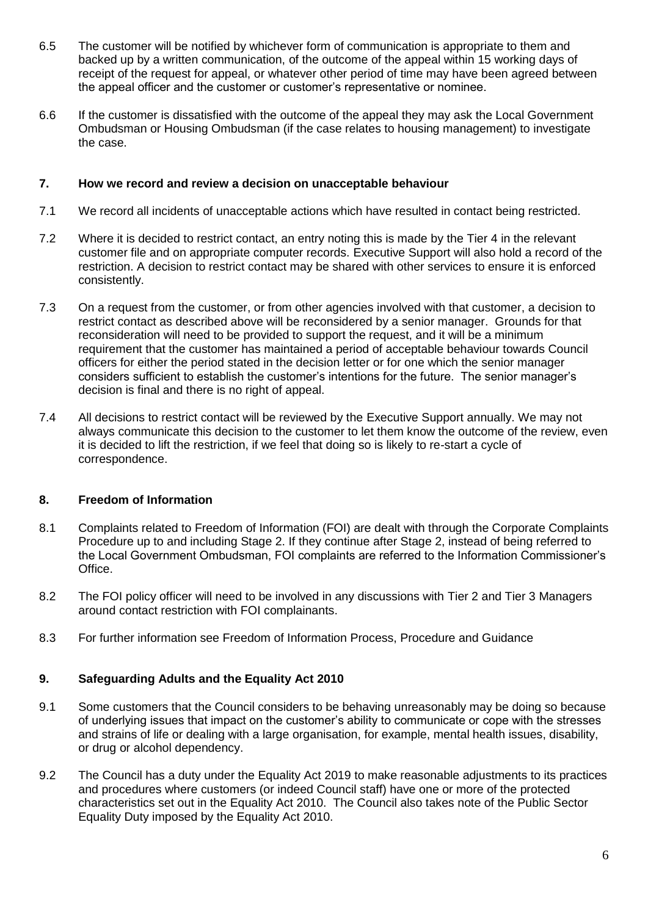- 6.5 The customer will be notified by whichever form of communication is appropriate to them and backed up by a written communication, of the outcome of the appeal within 15 working days of receipt of the request for appeal, or whatever other period of time may have been agreed between the appeal officer and the customer or customer's representative or nominee.
- 6.6 If the customer is dissatisfied with the outcome of the appeal they may ask the Local Government Ombudsman or Housing Ombudsman (if the case relates to housing management) to investigate the case.

#### **7. How we record and review a decision on unacceptable behaviour**

- 7.1 We record all incidents of unacceptable actions which have resulted in contact being restricted.
- 7.2 Where it is decided to restrict contact, an entry noting this is made by the Tier 4 in the relevant customer file and on appropriate computer records. Executive Support will also hold a record of the restriction. A decision to restrict contact may be shared with other services to ensure it is enforced consistently.
- 7.3 On a request from the customer, or from other agencies involved with that customer, a decision to restrict contact as described above will be reconsidered by a senior manager. Grounds for that reconsideration will need to be provided to support the request, and it will be a minimum requirement that the customer has maintained a period of acceptable behaviour towards Council officers for either the period stated in the decision letter or for one which the senior manager considers sufficient to establish the customer's intentions for the future. The senior manager's decision is final and there is no right of appeal.
- 7.4 All decisions to restrict contact will be reviewed by the Executive Support annually. We may not always communicate this decision to the customer to let them know the outcome of the review, even it is decided to lift the restriction, if we feel that doing so is likely to re-start a cycle of correspondence.

# **8. Freedom of Information**

- 8.1 Complaints related to Freedom of Information (FOI) are dealt with through the Corporate Complaints Procedure up to and including Stage 2. If they continue after Stage 2, instead of being referred to the Local Government Ombudsman, FOI complaints are referred to the Information Commissioner's Office.
- 8.2 The FOI policy officer will need to be involved in any discussions with Tier 2 and Tier 3 Managers around contact restriction with FOI complainants.
- 8.3 For further information see Freedom of Information Process, Procedure and Guidance

# **9. Safeguarding Adults and the Equality Act 2010**

- 9.1 Some customers that the Council considers to be behaving unreasonably may be doing so because of underlying issues that impact on the customer's ability to communicate or cope with the stresses and strains of life or dealing with a large organisation, for example, mental health issues, disability, or drug or alcohol dependency.
- 9.2 The Council has a duty under the Equality Act 2019 to make reasonable adjustments to its practices and procedures where customers (or indeed Council staff) have one or more of the protected characteristics set out in the Equality Act 2010. The Council also takes note of the Public Sector Equality Duty imposed by the Equality Act 2010.